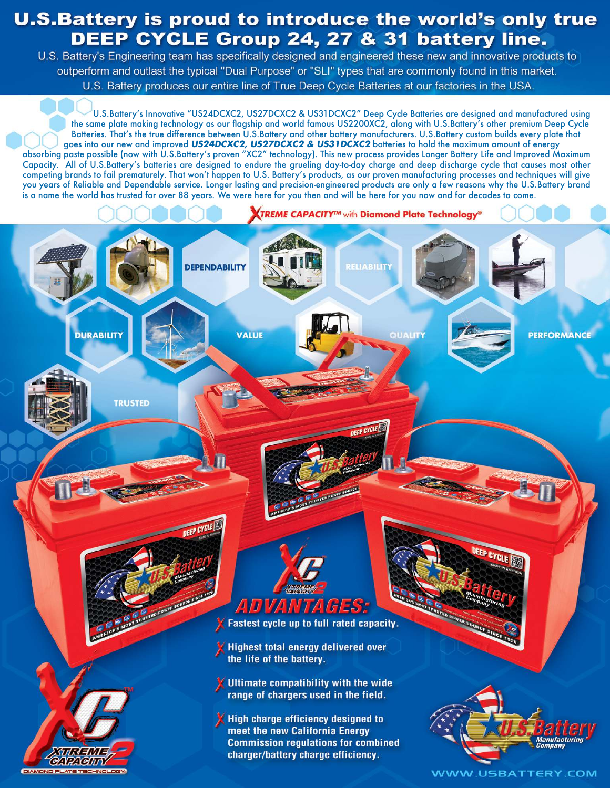## **U.S.Battery is proud to introduce the world's only true** DEEP CYCLE Group 24, 27 & 31 battery line.

U.S. Battery's Engineering team has specifically designed and engineered these new and innovative products to outperform and outlast the typical "Dual Purpose" or "SLI" types that are commonly found in this market. U.S. Battery produces our entire line of True Deep Cycle Batteries at our factories in the USA.

U.S.Battery's Innovative "US24DCXC2, US27DCXC2 & US31DCXC2" Deep Cycle Batteries are designed and manufactured using the same plate making technology as our flagship and world famous US2200XC2, along with U.S.Battery's other premium Deep Cycle Batteries. That's the true difference between U.S.Battery and other battery manufacturers. U.S.Battery custom builds every plate that goes into our new and improved US24DCXC2, US27DCXC2 & US31DCXC2 batteries to hold the maximum amount of energy absorbing paste possible (now with U.S.Battery's proven "XC2" technology). This new process provides Longer Battery Life and Improved Maximum Capacity. All of U.S.Battery's batteries are designed to endure the grueling day-to-day charge and deep discharge cycle that causes most other competing brands to fail prematurely. That won't happen to U.S. Battery's products, as our proven manufacturing processes and techniques will give you years of Reliable and Dependable service. Longer lasting and precision-engineered products are only a few reasons why the U.S.Battery brand is a name the world has trusted for over 88 years. We were here for you then and will be here for you now and for decades to come.

**XTREME CAPACITY<sup>TM</sup> with Diamond Plate Technology®** 

FIIARIIT

**TRUSTED** 

**DURABILITY** 

**DEPENDABILITY** 

**DEEP CYCLE** 

**AUSTED POWER SOURCE** 

**VALUE** 



Highest total energy delivered over

the life of the battery.

Ultimate compatibility with the wide range of chargers used in the field.

High charge efficiency designed to meet the new California Energy **Commission regulations for combined** charger/battery charge efficiency.



**PERFORMANCE** 

**WWW.USBATTERY.COM**